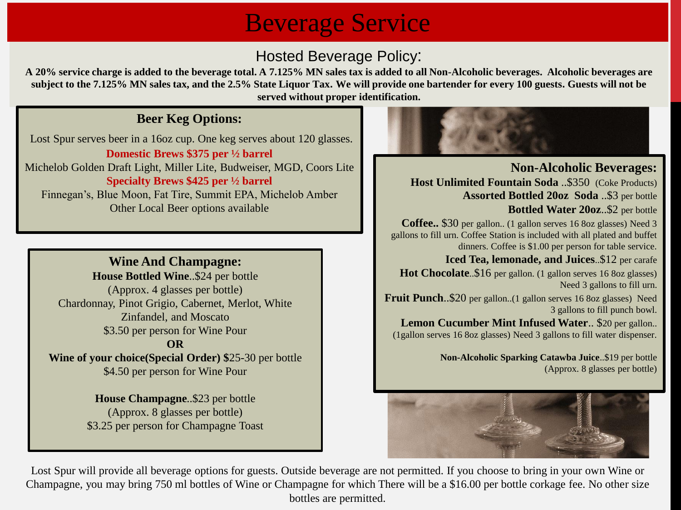## Beverage Service

### Hosted Beverage Policy:

**A 20% service charge is added to the beverage total. A 7.125% MN sales tax is added to all Non-Alcoholic beverages. Alcoholic beverages are subject to the 7.125% MN sales tax, and the 2.5% State Liquor Tax. We will provide one bartender for every 100 guests. Guests will not be served without proper identification.**

#### **Beer Keg Options:**

Lost Spur serves beer in a 16oz cup. One keg serves about 120 glasses. **Domestic Brews \$375 per ½ barrel** Michelob Golden Draft Light, Miller Lite, Budweiser, MGD, Coors Lite **Specialty Brews \$425 per ½ barrel** Finnegan's, Blue Moon, Fat Tire, Summit EPA, Michelob Amber Other Local Beer options available

#### **Wine And Champagne:**

**House Bottled Wine**..\$24 per bottle (Approx. 4 glasses per bottle) Chardonnay, Pinot Grigio, Cabernet, Merlot, White Zinfandel, and Moscato \$3.50 per person for Wine Pour **OR**

**Wine of your choice(Special Order) \$**25-30 per bottle \$4.50 per person for Wine Pour

> **House Champagne**..\$23 per bottle (Approx. 8 glasses per bottle) \$3.25 per person for Champagne Toast



**Non-Alcoholic Beverages: Host Unlimited Fountain Soda** ..\$350 (Coke Products) **Assorted Bottled 20oz Soda** ..\$3 per bottle **Bottled Water 20oz**..\$2 per bottle **Coffee..** \$30 per gallon.. (1 gallon serves 16 8oz glasses) Need 3 gallons to fill urn. Coffee Station is included with all plated and buffet dinners. Coffee is \$1.00 per person for table service. **Iced Tea, lemonade, and Juices**..\$12 per carafe **Hot Chocolate**..\$16 per gallon. (1 gallon serves 16 8oz glasses) Need 3 gallons to fill urn. **Fruit Punch**..\$20 per gallon..(1 gallon serves 16 8oz glasses) Need 3 gallons to fill punch bowl.

**Lemon Cucumber Mint Infused Water**.. \$20 per gallon.. (1gallon serves 16 8oz glasses) Need 3 gallons to fill water dispenser.

> **Non-Alcoholic Sparking Catawba Juice**..\$19 per bottle (Approx. 8 glasses per bottle)



Lost Spur will provide all beverage options for guests. Outside beverage are not permitted. If you choose to bring in your own Wine or Champagne, you may bring 750 ml bottles of Wine or Champagne for which There will be a \$16.00 per bottle corkage fee. No other size bottles are permitted.